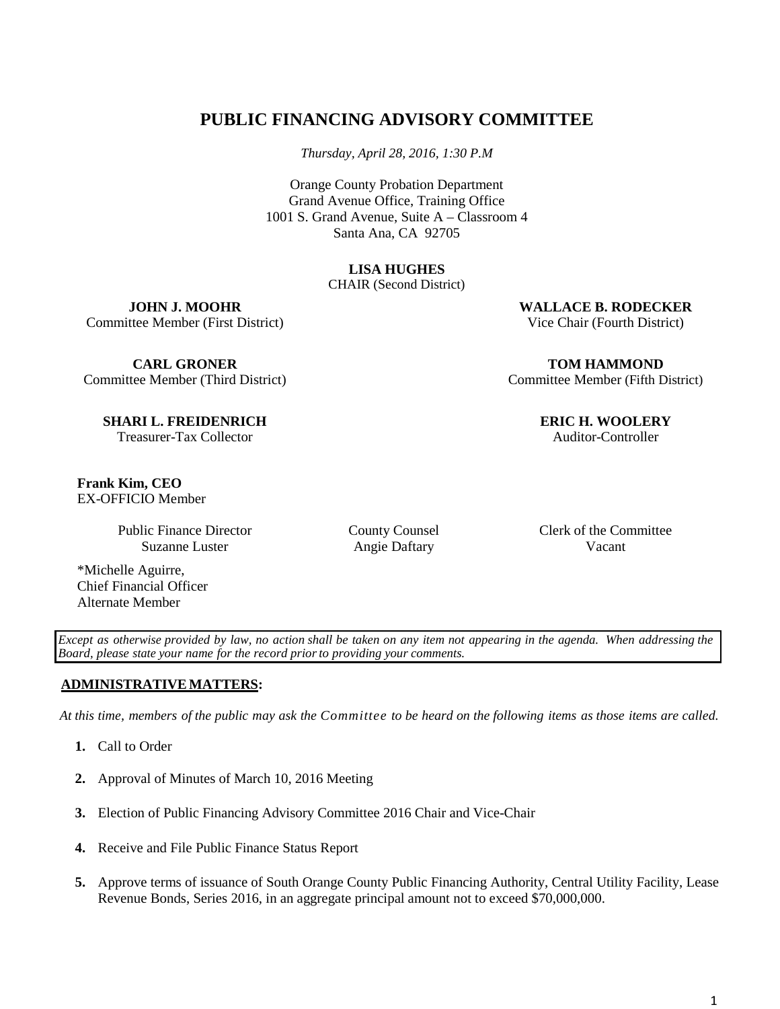# **PUBLIC FINANCING ADVISORY COMMITTEE**

*Thursday, April 28, 2016, 1:30 P.M*

Orange County Probation Department Grand Avenue Office, Training Office 1001 S. Grand Avenue, Suite A – Classroom 4 Santa Ana, CA 92705

# **LISA HUGHES**

CHAIR (Second District)

**JOHN J. MOOHR** Committee Member (First District)

**CARL GRONER** Committee Member (Third District)

**SHARI L. FREIDENRICH** Treasurer-Tax Collector

**Frank Kim, CEO** EX-OFFICIO Member

> Public Finance Director Suzanne Luster

\*Michelle Aguirre, Chief Financial Officer Alternate Member

County Counsel Angie Daftary

Clerk of the Committee Vacant

Except as otherwise provided by law, no action shall be taken on any item not appearing in the agenda. When addressing the *Board, please state your name for the record priorto providing your comments.*

# **ADMINISTRATIVE MATTERS:**

At this time, members of the public may ask the Committee to be heard on the following items as those items are called.

- **1.** Call to Order
- **2.** Approval of Minutes of March 10, 2016 Meeting
- **3.** Election of Public Financing Advisory Committee 2016 Chair and Vice-Chair
- **4.** Receive and File Public Finance Status Report
- **5.** Approve terms of issuance of South Orange County Public Financing Authority, Central Utility Facility, Lease Revenue Bonds, Series 2016, in an aggregate principal amount not to exceed \$70,000,000.

1

**WALLACE B. RODECKER** Vice Chair (Fourth District)

**TOM HAMMOND** Committee Member (Fifth District)

**ERIC H. WOOLERY**

Auditor-Controller